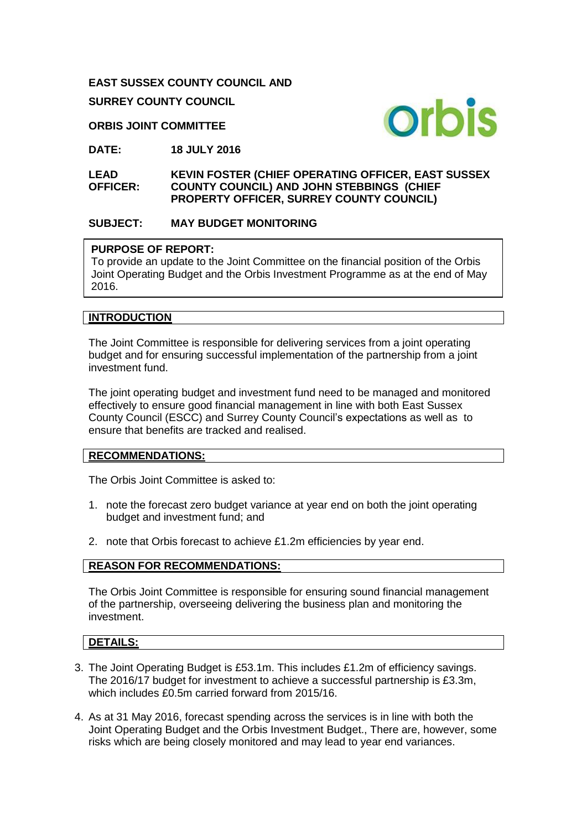### **EAST SUSSEX COUNTY COUNCIL AND**

**SURREY COUNTY COUNCIL**

### **ORBIS JOINT COMMITTEE**

**DATE: 18 JULY 2016**

**LEAD OFFICER: KEVIN FOSTER (CHIEF OPERATING OFFICER, EAST SUSSEX COUNTY COUNCIL) AND JOHN STEBBINGS (CHIEF PROPERTY OFFICER, SURREY COUNTY COUNCIL)** 

### **SUBJECT: MAY BUDGET MONITORING**

#### **PURPOSE OF REPORT:**

To provide an update to the Joint Committee on the financial position of the Orbis Joint Operating Budget and the Orbis Investment Programme as at the end of May 2016.

### **INTRODUCTION**

The Joint Committee is responsible for delivering services from a joint operating budget and for ensuring successful implementation of the partnership from a joint investment fund.

The joint operating budget and investment fund need to be managed and monitored effectively to ensure good financial management in line with both East Sussex County Council (ESCC) and Surrey County Council's expectations as well as to ensure that benefits are tracked and realised.

#### **RECOMMENDATIONS:**

The Orbis Joint Committee is asked to:

- 1. note the forecast zero budget variance at year end on both the joint operating budget and investment fund; and
- 2. note that Orbis forecast to achieve £1.2m efficiencies by year end.

## **REASON FOR RECOMMENDATIONS:**

The Orbis Joint Committee is responsible for ensuring sound financial management of the partnership, overseeing delivering the business plan and monitoring the investment.

## **DETAILS:**

- 3. The Joint Operating Budget is £53.1m. This includes £1.2m of efficiency savings. The 2016/17 budget for investment to achieve a successful partnership is £3.3m, which includes £0.5m carried forward from 2015/16.
- 4. As at 31 May 2016, forecast spending across the services is in line with both the Joint Operating Budget and the Orbis Investment Budget., There are, however, some risks which are being closely monitored and may lead to year end variances.

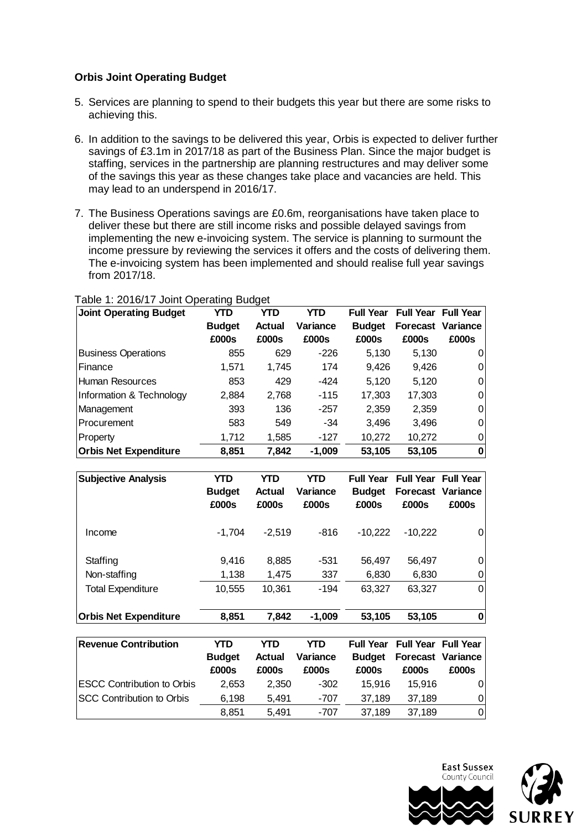# **Orbis Joint Operating Budget**

- 5. Services are planning to spend to their budgets this year but there are some risks to achieving this.
- 6. In addition to the savings to be delivered this year, Orbis is expected to deliver further savings of £3.1m in 2017/18 as part of the Business Plan. Since the major budget is staffing, services in the partnership are planning restructures and may deliver some of the savings this year as these changes take place and vacancies are held. This may lead to an underspend in 2016/17.
- 7. The Business Operations savings are £0.6m, reorganisations have taken place to deliver these but there are still income risks and possible delayed savings from implementing the new e-invoicing system. The service is planning to surmount the income pressure by reviewing the services it offers and the costs of delivering them. The e-invoicing system has been implemented and should realise full year savings from 2017/18.

| <b>Joint Operating Budget</b> | YTD           | YTD           | YTD      | <b>Full Year</b> | <b>Full Year Full Year</b> |                          |
|-------------------------------|---------------|---------------|----------|------------------|----------------------------|--------------------------|
|                               | <b>Budget</b> | <b>Actual</b> | Variance | <b>Budget</b>    |                            | <b>Forecast Variance</b> |
|                               | £000s         | £000s         | £000s    | £000s            | £000s                      | £000s                    |
| <b>Business Operations</b>    | 855           | 629           | $-226$   | 5,130            | 5,130                      | 0                        |
| Finance                       | 1,571         | 1,745         | 174      | 9,426            | 9,426                      | 0                        |
| Human Resources               | 853           | 429           | $-424$   | 5,120            | 5,120                      | 0                        |
| Information & Technology      | 2,884         | 2,768         | $-115$   | 17,303           | 17,303                     | 0                        |
| Management                    | 393           | 136           | $-257$   | 2,359            | 2,359                      | 0                        |
| <b>Procurement</b>            | 583           | 549           | $-34$    | 3,496            | 3,496                      | 0                        |
| Property                      | 1,712         | 1,585         | $-127$   | 10,272           | 10,272                     | 0                        |
| <b>Orbis Net Expenditure</b>  | 8,851         | 7,842         | $-1,009$ | 53,105           | 53,105                     | 0                        |

### Table 1: 2016/17 Joint Operating Budget

| <b>Subjective Analysis</b>               | YTD<br><b>Budget</b><br>£000s | <b>YTD</b><br>Actual<br>£000s | YTD<br>Variance<br>£000s | <b>Full Year</b><br><b>Budget</b><br>£000s | <b>Full Year Full Year</b><br><b>Forecast Variance</b><br>£000s | £000s    |
|------------------------------------------|-------------------------------|-------------------------------|--------------------------|--------------------------------------------|-----------------------------------------------------------------|----------|
| Income                                   | $-1.704$                      | $-2,519$                      | $-816$                   | $-10,222$                                  | $-10,222$                                                       | 0        |
| Staffing                                 | 9,416<br>1,138                | 8,885                         | $-531$<br>337            | 56,497                                     | 56,497                                                          | 0        |
| Non-staffing<br><b>Total Expenditure</b> | 10,555                        | 1,475<br>10,361               | $-194$                   | 6,830<br>63,327                            | 6,830<br>63,327                                                 | 0<br>0   |
| <b>Orbis Net Expenditure</b>             | 8,851                         | 7,842                         | $-1,009$                 | 53,105                                     | 53,105                                                          | $\bf{0}$ |

| <b>Revenue Contribution</b>        | YTD<br><b>Budget</b><br>£000s | YTD<br><b>Actual</b><br>£000s | YTD<br>Variance<br>£000s | <b>Full Year</b><br><b>Budget</b><br>£000s | <b>Full Year Full Year</b><br>£000s | <b>Forecast Variance</b><br>£000s |
|------------------------------------|-------------------------------|-------------------------------|--------------------------|--------------------------------------------|-------------------------------------|-----------------------------------|
| <b>IESCC Contribution to Orbis</b> | 2.653                         | 2.350                         | $-302$                   | 15.916                                     | 15.916                              | 01                                |
| <b>ISCC Contribution to Orbis</b>  | 6,198                         | 5.491                         | -707                     | 37.189                                     | 37.189                              | 01                                |
|                                    | 8.851                         | 5.491                         | -707                     | 37,189                                     | 37.189                              | 01                                |

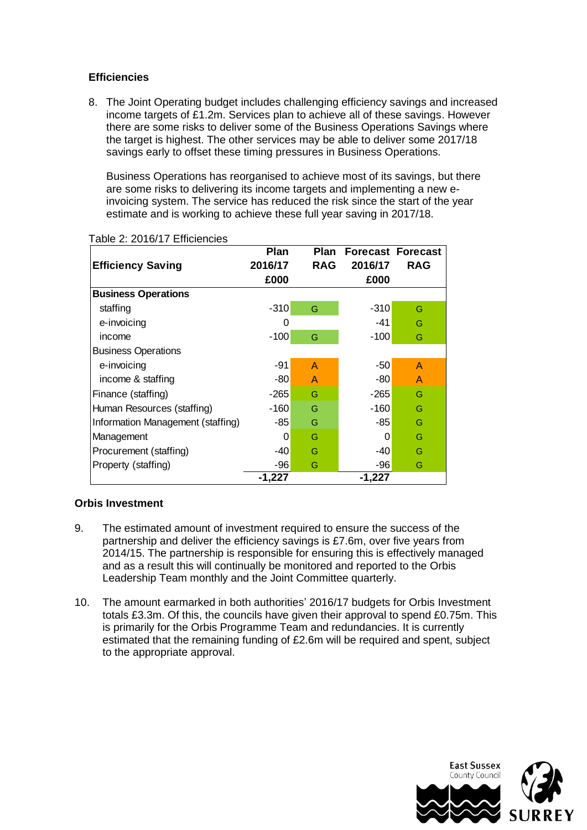# **Efficiencies**

8. The Joint Operating budget includes challenging efficiency savings and increased income targets of £1.2m. Services plan to achieve all of these savings. However there are some risks to deliver some of the Business Operations Savings where the target is highest. The other services may be able to deliver some 2017/18 savings early to offset these timing pressures in Business Operations.

Business Operations has reorganised to achieve most of its savings, but there are some risks to delivering its income targets and implementing a new einvoicing system. The service has reduced the risk since the start of the year estimate and is working to achieve these full year saving in 2017/18.

|                                   | <b>Plan</b> | Plan         | <b>Forecast Forecast</b> |              |  |  |  |
|-----------------------------------|-------------|--------------|--------------------------|--------------|--|--|--|
| <b>Efficiency Saving</b>          | 2016/17     | <b>RAG</b>   | 2016/17                  | <b>RAG</b>   |  |  |  |
|                                   | £000        |              | £000                     |              |  |  |  |
| <b>Business Operations</b>        |             |              |                          |              |  |  |  |
| staffing                          | $-310$      | G            | $-310$                   | G            |  |  |  |
| e-invoicing                       | 0           |              | -41                      | G            |  |  |  |
| income                            | $-100$      | G            | $-100$                   | G            |  |  |  |
| <b>Business Operations</b>        |             |              |                          |              |  |  |  |
| e-invoicing                       | -91         | $\mathsf{A}$ | $-50$                    | $\mathsf{A}$ |  |  |  |
| income & staffing                 | -80         | A            | -80                      | $\mathsf{A}$ |  |  |  |
| Finance (staffing)                | $-265$      | G            | $-265$                   | G            |  |  |  |
| Human Resources (staffing)        | $-160$      | G            | $-160$                   | G            |  |  |  |
| Information Management (staffing) | -85         | G            | -85                      | G            |  |  |  |
| Management                        | 0           | G            | 0                        | G            |  |  |  |
| Procurement (staffing)            | -40         | G            | -40                      | G            |  |  |  |
| Property (staffing)               | -96         | G            | -96                      | G            |  |  |  |
|                                   | -1,227      |              | $-1,227$                 |              |  |  |  |

#### Table 2: 2016/17 Efficiencies

### **Orbis Investment**

- 9. The estimated amount of investment required to ensure the success of the partnership and deliver the efficiency savings is £7.6m, over five years from 2014/15. The partnership is responsible for ensuring this is effectively managed and as a result this will continually be monitored and reported to the Orbis Leadership Team monthly and the Joint Committee quarterly.
- 10. The amount earmarked in both authorities' 2016/17 budgets for Orbis Investment totals £3.3m. Of this, the councils have given their approval to spend £0.75m. This is primarily for the Orbis Programme Team and redundancies. It is currently estimated that the remaining funding of £2.6m will be required and spent, subject to the appropriate approval.

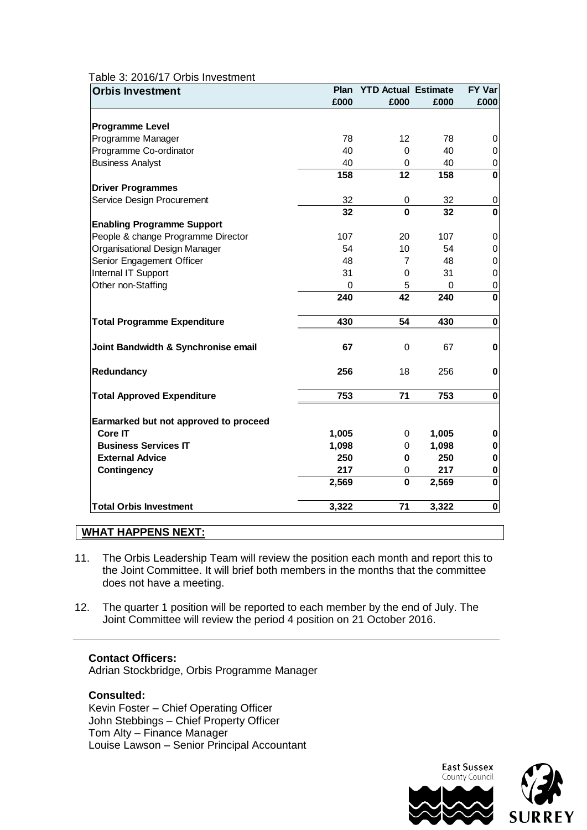#### Table 3: 2016/17 Orbis Investment

| <b>Orbis Investment</b>               | Plan  | <b>YTD Actual Estimate</b> |       | FY Var      |
|---------------------------------------|-------|----------------------------|-------|-------------|
|                                       | £000  | £000                       | £000  | £000        |
|                                       |       |                            |       |             |
| <b>Programme Level</b>                |       |                            |       |             |
| Programme Manager                     | 78    | $12 \overline{ }$          | 78    | 0           |
| Programme Co-ordinator                | 40    | $\Omega$                   | 40    | 0           |
| <b>Business Analyst</b>               | 40    | 0                          | 40    | $\mathbf 0$ |
|                                       | 158   | 12                         | 158   | $\bf{0}$    |
| <b>Driver Programmes</b>              |       |                            |       |             |
| Service Design Procurement            | 32    | 0                          | 32    | 0           |
|                                       | 32    | $\Omega$                   | 32    | $\mathbf 0$ |
| <b>Enabling Programme Support</b>     |       |                            |       |             |
| People & change Programme Director    | 107   | 20                         | 107   | 0           |
| Organisational Design Manager         | 54    | 10                         | 54    | 0           |
| Senior Engagement Officer             | 48    | 7                          | 48    | $\mathbf 0$ |
| Internal IT Support                   | 31    | $\Omega$                   | 31    | $\mathbf 0$ |
| Other non-Staffing                    | 0     | 5                          | 0     | $\mathbf 0$ |
|                                       | 240   | 42                         | 240   | $\mathbf 0$ |
| <b>Total Programme Expenditure</b>    | 430   | 54                         | 430   | $\bf{0}$    |
| Joint Bandwidth & Synchronise email   | 67    | $\Omega$                   | 67    | $\bf{0}$    |
| Redundancy                            | 256   | 18                         | 256   | $\bf{0}$    |
| <b>Total Approved Expenditure</b>     | 753   | 71                         | 753   | $\bf{0}$    |
| Earmarked but not approved to proceed |       |                            |       |             |
| <b>Core IT</b>                        | 1,005 | 0                          | 1,005 | 0           |
| <b>Business Services IT</b>           | 1,098 | 0                          | 1,098 | $\bf{0}$    |
| <b>External Advice</b>                | 250   | 0                          | 250   | $\bf{0}$    |
| <b>Contingency</b>                    | 217   | 0                          | 217   | $\bf{0}$    |
|                                       | 2,569 | $\mathbf 0$                | 2,569 | $\mathbf 0$ |
| <b>Total Orbis Investment</b>         | 3,322 | 71                         | 3,322 | $\bf{0}$    |

## **WHAT HAPPENS NEXT:**

- 11. The Orbis Leadership Team will review the position each month and report this to the Joint Committee. It will brief both members in the months that the committee does not have a meeting.
- 12. The quarter 1 position will be reported to each member by the end of July. The Joint Committee will review the period 4 position on 21 October 2016.

#### **Contact Officers:**

Adrian Stockbridge, Orbis Programme Manager

## **Consulted:**

Kevin Foster – Chief Operating Officer John Stebbings – Chief Property Officer Tom Alty – Finance Manager Louise Lawson – Senior Principal Accountant